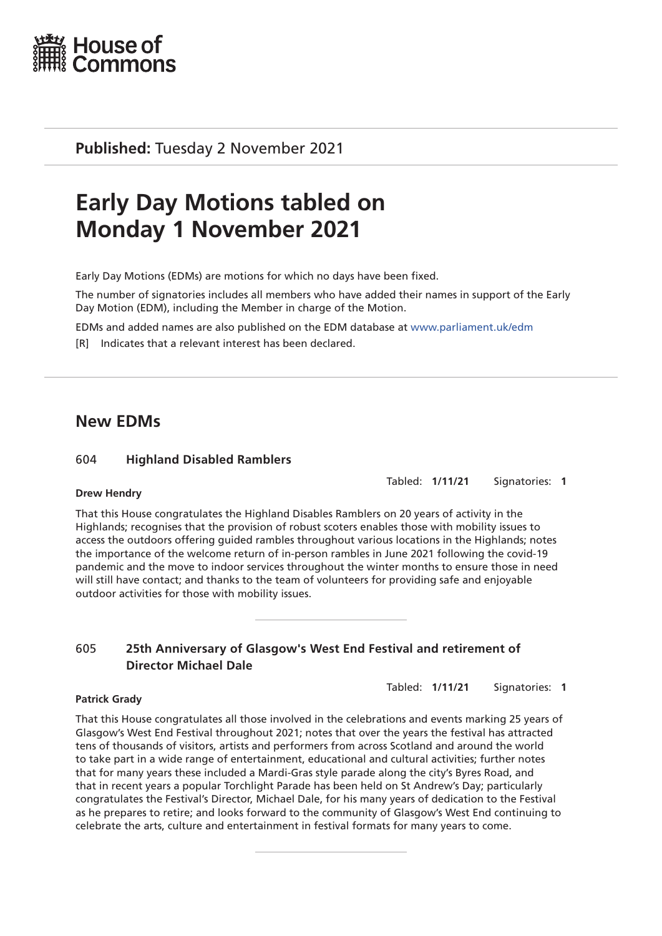

**Published:** Tuesday 2 November 2021

# **Early Day Motions tabled on Monday 1 November 2021**

Early Day Motions (EDMs) are motions for which no days have been fixed.

The number of signatories includes all members who have added their names in support of the Early Day Motion (EDM), including the Member in charge of the Motion.

EDMs and added names are also published on the EDM database at [www.parliament.uk/edm](http://www.parliament.uk/edm)

[R] Indicates that a relevant interest has been declared.

# **New EDMs**

# 604 **Highland Disabled Ramblers**

Tabled: **1/11/21** Signatories: **1**

#### **Drew Hendry**

That this House congratulates the Highland Disables Ramblers on 20 years of activity in the Highlands; recognises that the provision of robust scoters enables those with mobility issues to access the outdoors offering guided rambles throughout various locations in the Highlands; notes the importance of the welcome return of in-person rambles in June 2021 following the covid-19 pandemic and the move to indoor services throughout the winter months to ensure those in need will still have contact; and thanks to the team of volunteers for providing safe and enjoyable outdoor activities for those with mobility issues.

# 605 **25th Anniversary of Glasgow's West End Festival and retirement of Director Michael Dale**

Tabled: **1/11/21** Signatories: **1**

#### **Patrick Grady**

That this House congratulates all those involved in the celebrations and events marking 25 years of Glasgow's West End Festival throughout 2021; notes that over the years the festival has attracted tens of thousands of visitors, artists and performers from across Scotland and around the world to take part in a wide range of entertainment, educational and cultural activities; further notes that for many years these included a Mardi-Gras style parade along the city's Byres Road, and that in recent years a popular Torchlight Parade has been held on St Andrew's Day; particularly congratulates the Festival's Director, Michael Dale, for his many years of dedication to the Festival as he prepares to retire; and looks forward to the community of Glasgow's West End continuing to celebrate the arts, culture and entertainment in festival formats for many years to come.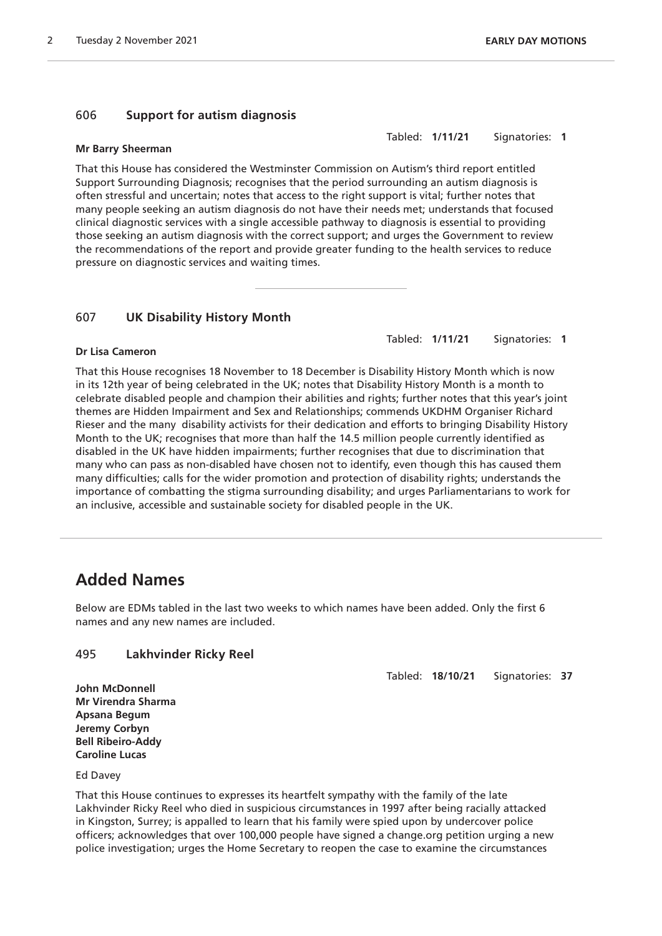#### 606 **Support for autism diagnosis**

#### **Mr Barry Sheerman**

That this House has considered the Westminster Commission on Autism's third report entitled Support Surrounding Diagnosis; recognises that the period surrounding an autism diagnosis is often stressful and uncertain; notes that access to the right support is vital; further notes that many people seeking an autism diagnosis do not have their needs met; understands that focused clinical diagnostic services with a single accessible pathway to diagnosis is essential to providing those seeking an autism diagnosis with the correct support; and urges the Government to review the recommendations of the report and provide greater funding to the health services to reduce pressure on diagnostic services and waiting times.

#### 607 **UK Disability History Month**

Tabled: **1/11/21** Signatories: **1**

Tabled: **1/11/21** Signatories: **1**

#### **Dr Lisa Cameron**

That this House recognises 18 November to 18 December is Disability History Month which is now in its 12th year of being celebrated in the UK; notes that Disability History Month is a month to celebrate disabled people and champion their abilities and rights; further notes that this year's joint themes are Hidden Impairment and Sex and Relationships; commends UKDHM Organiser Richard Rieser and the many disability activists for their dedication and efforts to bringing Disability History Month to the UK; recognises that more than half the 14.5 million people currently identified as disabled in the UK have hidden impairments; further recognises that due to discrimination that many who can pass as non-disabled have chosen not to identify, even though this has caused them many difficulties; calls for the wider promotion and protection of disability rights; understands the importance of combatting the stigma surrounding disability; and urges Parliamentarians to work for an inclusive, accessible and sustainable society for disabled people in the UK.

# **Added Names**

Below are EDMs tabled in the last two weeks to which names have been added. Only the first 6 names and any new names are included.

#### 495 **Lakhvinder Ricky Reel**

Tabled: **18/10/21** Signatories: **37**

**John McDonnell Mr Virendra Sharma Apsana Begum Jeremy Corbyn Bell Ribeiro-Addy Caroline Lucas**

Ed Davey

That this House continues to expresses its heartfelt sympathy with the family of the late Lakhvinder Ricky Reel who died in suspicious circumstances in 1997 after being racially attacked in Kingston, Surrey; is appalled to learn that his family were spied upon by undercover police officers; acknowledges that over 100,000 people have signed a change.org petition urging a new police investigation; urges the Home Secretary to reopen the case to examine the circumstances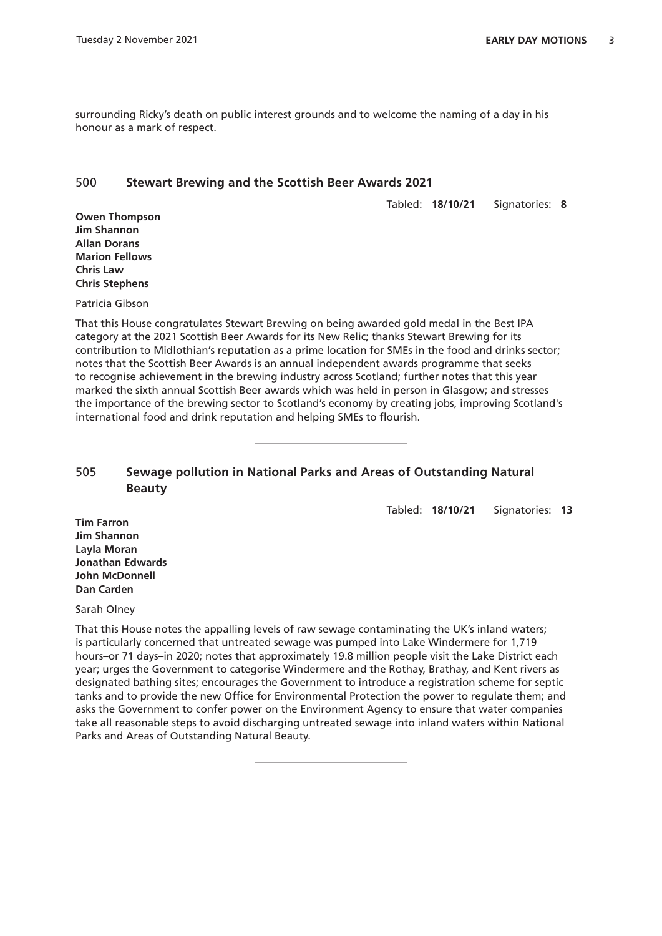surrounding Ricky's death on public interest grounds and to welcome the naming of a day in his honour as a mark of respect.

#### 500 **Stewart Brewing and the Scottish Beer Awards 2021**

Tabled: **18/10/21** Signatories: **8**

**Owen Thompson Jim Shannon Allan Dorans Marion Fellows Chris Law Chris Stephens**

Patricia Gibson

That this House congratulates Stewart Brewing on being awarded gold medal in the Best IPA category at the 2021 Scottish Beer Awards for its New Relic; thanks Stewart Brewing for its contribution to Midlothian's reputation as a prime location for SMEs in the food and drinks sector; notes that the Scottish Beer Awards is an annual independent awards programme that seeks to recognise achievement in the brewing industry across Scotland; further notes that this year marked the sixth annual Scottish Beer awards which was held in person in Glasgow; and stresses the importance of the brewing sector to Scotland's economy by creating jobs, improving Scotland's international food and drink reputation and helping SMEs to flourish.

# 505 **Sewage pollution in National Parks and Areas of Outstanding Natural Beauty**

Tabled: **18/10/21** Signatories: **13**

**Tim Farron Jim Shannon Layla Moran Jonathan Edwards John McDonnell Dan Carden**

Sarah Olney

That this House notes the appalling levels of raw sewage contaminating the UK's inland waters; is particularly concerned that untreated sewage was pumped into Lake Windermere for 1,719 hours–or 71 days–in 2020; notes that approximately 19.8 million people visit the Lake District each year; urges the Government to categorise Windermere and the Rothay, Brathay, and Kent rivers as designated bathing sites; encourages the Government to introduce a registration scheme for septic tanks and to provide the new Office for Environmental Protection the power to regulate them; and asks the Government to confer power on the Environment Agency to ensure that water companies take all reasonable steps to avoid discharging untreated sewage into inland waters within National Parks and Areas of Outstanding Natural Beauty.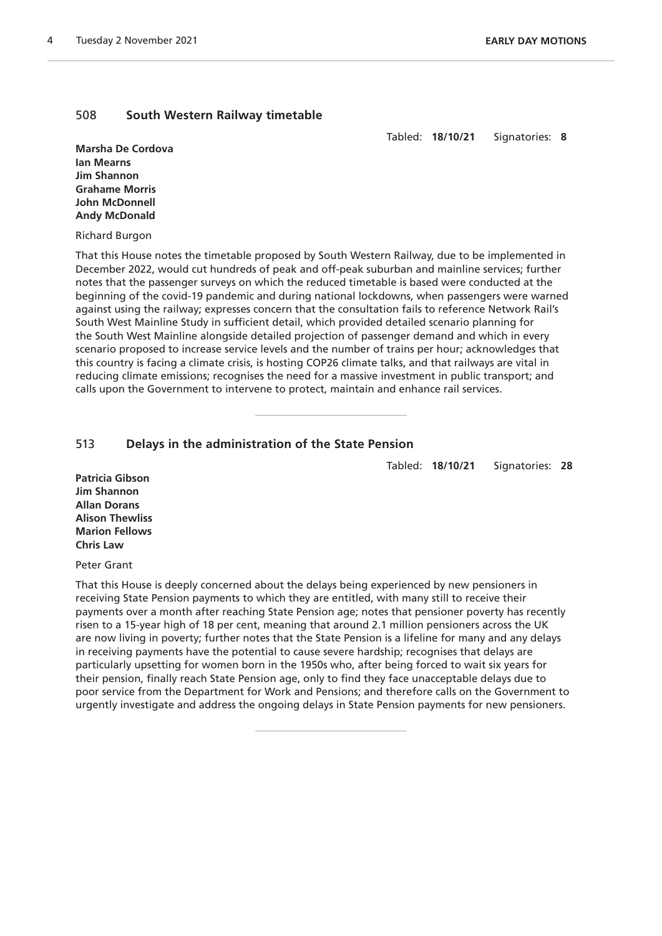#### 508 **South Western Railway timetable**

Tabled: **18/10/21** Signatories: **8**

**Marsha De Cordova Ian Mearns Jim Shannon Grahame Morris John McDonnell Andy McDonald**

#### Richard Burgon

That this House notes the timetable proposed by South Western Railway, due to be implemented in December 2022, would cut hundreds of peak and off-peak suburban and mainline services; further notes that the passenger surveys on which the reduced timetable is based were conducted at the beginning of the covid-19 pandemic and during national lockdowns, when passengers were warned against using the railway; expresses concern that the consultation fails to reference Network Rail's South West Mainline Study in sufficient detail, which provided detailed scenario planning for the South West Mainline alongside detailed projection of passenger demand and which in every scenario proposed to increase service levels and the number of trains per hour; acknowledges that this country is facing a climate crisis, is hosting COP26 climate talks, and that railways are vital in reducing climate emissions; recognises the need for a massive investment in public transport; and calls upon the Government to intervene to protect, maintain and enhance rail services.

# 513 **Delays in the administration of the State Pension**

Tabled: **18/10/21** Signatories: **28**

**Patricia Gibson Jim Shannon Allan Dorans Alison Thewliss Marion Fellows Chris Law**

Peter Grant

That this House is deeply concerned about the delays being experienced by new pensioners in receiving State Pension payments to which they are entitled, with many still to receive their payments over a month after reaching State Pension age; notes that pensioner poverty has recently risen to a 15-year high of 18 per cent, meaning that around 2.1 million pensioners across the UK are now living in poverty; further notes that the State Pension is a lifeline for many and any delays in receiving payments have the potential to cause severe hardship; recognises that delays are particularly upsetting for women born in the 1950s who, after being forced to wait six years for their pension, finally reach State Pension age, only to find they face unacceptable delays due to poor service from the Department for Work and Pensions; and therefore calls on the Government to urgently investigate and address the ongoing delays in State Pension payments for new pensioners.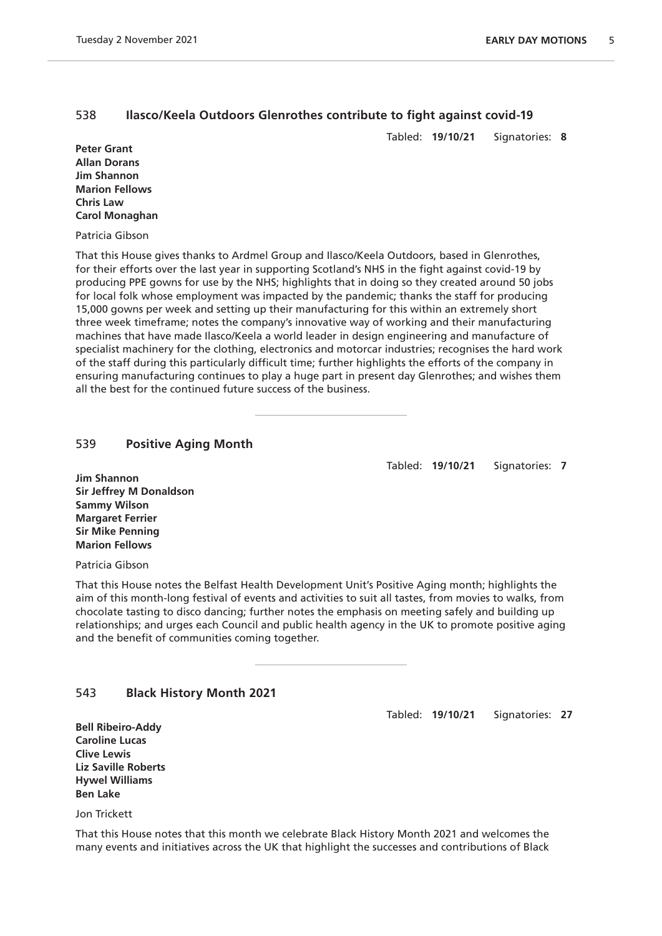# 538 **Ilasco/Keela Outdoors Glenrothes contribute to fight against covid-19**

Tabled: **19/10/21** Signatories: **8**

**Peter Grant Allan Dorans Jim Shannon Marion Fellows Chris Law Carol Monaghan**

Patricia Gibson

That this House gives thanks to Ardmel Group and Ilasco/Keela Outdoors, based in Glenrothes, for their efforts over the last year in supporting Scotland's NHS in the fight against covid-19 by producing PPE gowns for use by the NHS; highlights that in doing so they created around 50 jobs for local folk whose employment was impacted by the pandemic; thanks the staff for producing 15,000 gowns per week and setting up their manufacturing for this within an extremely short three week timeframe; notes the company's innovative way of working and their manufacturing machines that have made Ilasco/Keela a world leader in design engineering and manufacture of specialist machinery for the clothing, electronics and motorcar industries; recognises the hard work of the staff during this particularly difficult time; further highlights the efforts of the company in ensuring manufacturing continues to play a huge part in present day Glenrothes; and wishes them all the best for the continued future success of the business.

#### 539 **Positive Aging Month**

Tabled: **19/10/21** Signatories: **7**

**Jim Shannon Sir Jeffrey M Donaldson Sammy Wilson Margaret Ferrier Sir Mike Penning Marion Fellows**

Patricia Gibson

That this House notes the Belfast Health Development Unit's Positive Aging month; highlights the aim of this month-long festival of events and activities to suit all tastes, from movies to walks, from chocolate tasting to disco dancing; further notes the emphasis on meeting safely and building up relationships; and urges each Council and public health agency in the UK to promote positive aging and the benefit of communities coming together.

#### 543 **Black History Month 2021**

Tabled: **19/10/21** Signatories: **27**

**Bell Ribeiro-Addy Caroline Lucas Clive Lewis Liz Saville Roberts Hywel Williams Ben Lake**

Jon Trickett

That this House notes that this month we celebrate Black History Month 2021 and welcomes the many events and initiatives across the UK that highlight the successes and contributions of Black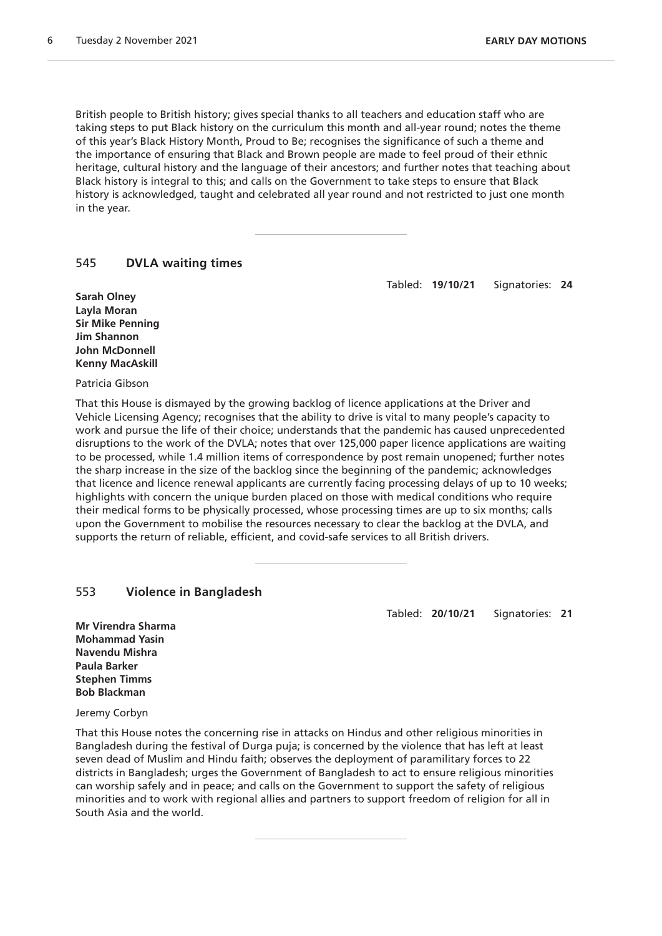British people to British history; gives special thanks to all teachers and education staff who are taking steps to put Black history on the curriculum this month and all-year round; notes the theme of this year's Black History Month, Proud to Be; recognises the significance of such a theme and the importance of ensuring that Black and Brown people are made to feel proud of their ethnic heritage, cultural history and the language of their ancestors; and further notes that teaching about Black history is integral to this; and calls on the Government to take steps to ensure that Black history is acknowledged, taught and celebrated all year round and not restricted to just one month in the year.

#### 545 **DVLA waiting times**

Tabled: **19/10/21** Signatories: **24**

**Sarah Olney Layla Moran Sir Mike Penning Jim Shannon John McDonnell Kenny MacAskill**

Patricia Gibson

That this House is dismayed by the growing backlog of licence applications at the Driver and Vehicle Licensing Agency; recognises that the ability to drive is vital to many people's capacity to work and pursue the life of their choice; understands that the pandemic has caused unprecedented disruptions to the work of the DVLA; notes that over 125,000 paper licence applications are waiting to be processed, while 1.4 million items of correspondence by post remain unopened; further notes the sharp increase in the size of the backlog since the beginning of the pandemic; acknowledges that licence and licence renewal applicants are currently facing processing delays of up to 10 weeks; highlights with concern the unique burden placed on those with medical conditions who require their medical forms to be physically processed, whose processing times are up to six months; calls upon the Government to mobilise the resources necessary to clear the backlog at the DVLA, and supports the return of reliable, efficient, and covid-safe services to all British drivers.

#### 553 **Violence in Bangladesh**

Tabled: **20/10/21** Signatories: **21**

**Mr Virendra Sharma Mohammad Yasin Navendu Mishra Paula Barker Stephen Timms Bob Blackman**

Jeremy Corbyn

That this House notes the concerning rise in attacks on Hindus and other religious minorities in Bangladesh during the festival of Durga puja; is concerned by the violence that has left at least seven dead of Muslim and Hindu faith; observes the deployment of paramilitary forces to 22 districts in Bangladesh; urges the Government of Bangladesh to act to ensure religious minorities can worship safely and in peace; and calls on the Government to support the safety of religious minorities and to work with regional allies and partners to support freedom of religion for all in South Asia and the world.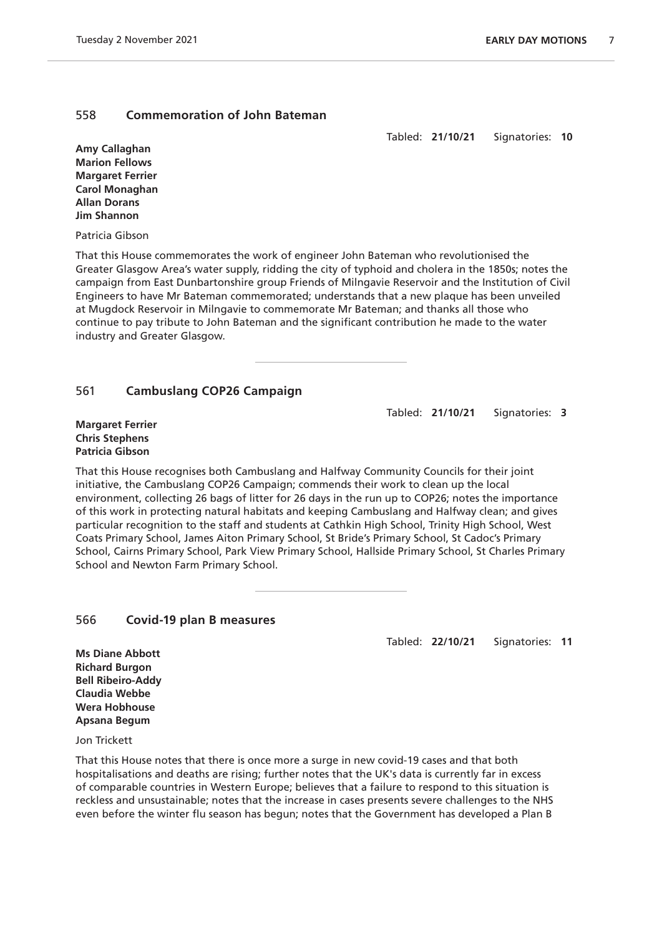#### 558 **Commemoration of John Bateman**

Tabled: **21/10/21** Signatories: **10**

**Amy Callaghan Marion Fellows Margaret Ferrier Carol Monaghan Allan Dorans Jim Shannon**

Patricia Gibson

That this House commemorates the work of engineer John Bateman who revolutionised the Greater Glasgow Area's water supply, ridding the city of typhoid and cholera in the 1850s; notes the campaign from East Dunbartonshire group Friends of Milngavie Reservoir and the Institution of Civil Engineers to have Mr Bateman commemorated; understands that a new plaque has been unveiled at Mugdock Reservoir in Milngavie to commemorate Mr Bateman; and thanks all those who continue to pay tribute to John Bateman and the significant contribution he made to the water industry and Greater Glasgow.

#### 561 **Cambuslang COP26 Campaign**

Tabled: **21/10/21** Signatories: **3**

#### **Margaret Ferrier Chris Stephens Patricia Gibson**

That this House recognises both Cambuslang and Halfway Community Councils for their joint initiative, the Cambuslang COP26 Campaign; commends their work to clean up the local environment, collecting 26 bags of litter for 26 days in the run up to COP26; notes the importance of this work in protecting natural habitats and keeping Cambuslang and Halfway clean; and gives particular recognition to the staff and students at Cathkin High School, Trinity High School, West Coats Primary School, James Aiton Primary School, St Bride's Primary School, St Cadoc's Primary School, Cairns Primary School, Park View Primary School, Hallside Primary School, St Charles Primary School and Newton Farm Primary School.

#### 566 **Covid-19 plan B measures**

Tabled: **22/10/21** Signatories: **11**

**Ms Diane Abbott Richard Burgon Bell Ribeiro-Addy Claudia Webbe Wera Hobhouse Apsana Begum**

Jon Trickett

That this House notes that there is once more a surge in new covid-19 cases and that both hospitalisations and deaths are rising; further notes that the UK's data is currently far in excess of comparable countries in Western Europe; believes that a failure to respond to this situation is reckless and unsustainable; notes that the increase in cases presents severe challenges to the NHS even before the winter flu season has begun; notes that the Government has developed a Plan B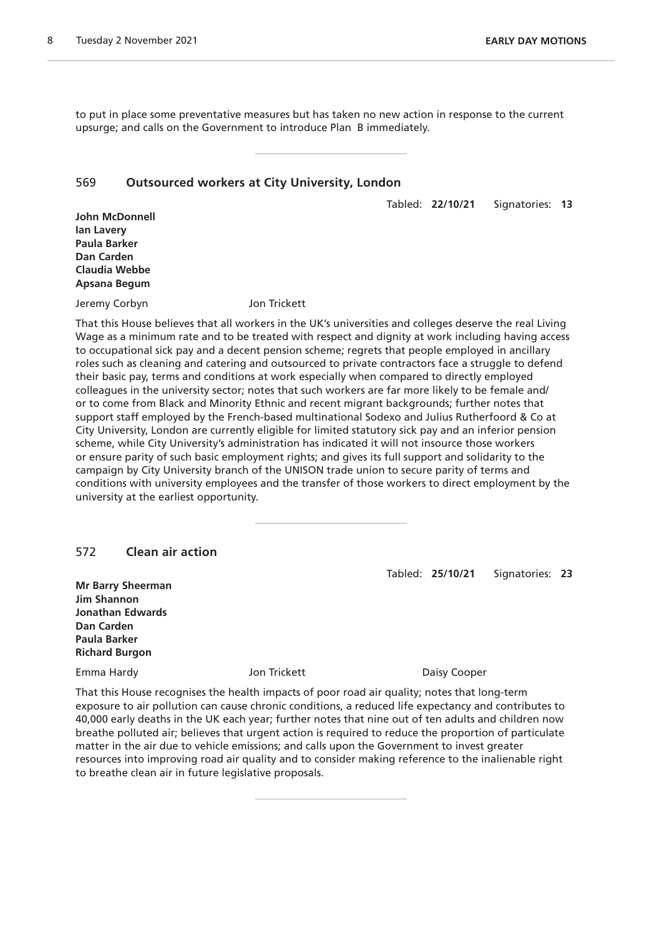to put in place some preventative measures but has taken no new action in response to the current upsurge; and calls on the Government to introduce Plan B immediately.

#### 569 **Outsourced workers at City University, London**

Tabled: **22/10/21** Signatories: **13**

**John McDonnell Ian Lavery Paula Barker Dan Carden Claudia Webbe Apsana Begum**

Jeremy Corbyn Jon Trickett

That this House believes that all workers in the UK's universities and colleges deserve the real Living Wage as a minimum rate and to be treated with respect and dignity at work including having access to occupational sick pay and a decent pension scheme; regrets that people employed in ancillary roles such as cleaning and catering and outsourced to private contractors face a struggle to defend their basic pay, terms and conditions at work especially when compared to directly employed colleagues in the university sector; notes that such workers are far more likely to be female and/ or to come from Black and Minority Ethnic and recent migrant backgrounds; further notes that support staff employed by the French-based multinational Sodexo and Julius Rutherfoord & Co at City University, London are currently eligible for limited statutory sick pay and an inferior pension scheme, while City University's administration has indicated it will not insource those workers or ensure parity of such basic employment rights; and gives its full support and solidarity to the campaign by City University branch of the UNISON trade union to secure parity of terms and conditions with university employees and the transfer of those workers to direct employment by the university at the earliest opportunity.

#### 572 **Clean air action**

**Mr Barry Sheerman Jim Shannon Jonathan Edwards Dan Carden Paula Barker Richard Burgon**

Emma Hardy **State Cooper** Jon Trickett **Cooper** Daisy Cooper

Tabled: **25/10/21** Signatories: **23**

That this House recognises the health impacts of poor road air quality; notes that long-term exposure to air pollution can cause chronic conditions, a reduced life expectancy and contributes to 40,000 early deaths in the UK each year; further notes that nine out of ten adults and children now breathe polluted air; believes that urgent action is required to reduce the proportion of particulate matter in the air due to vehicle emissions; and calls upon the Government to invest greater resources into improving road air quality and to consider making reference to the inalienable right to breathe clean air in future legislative proposals.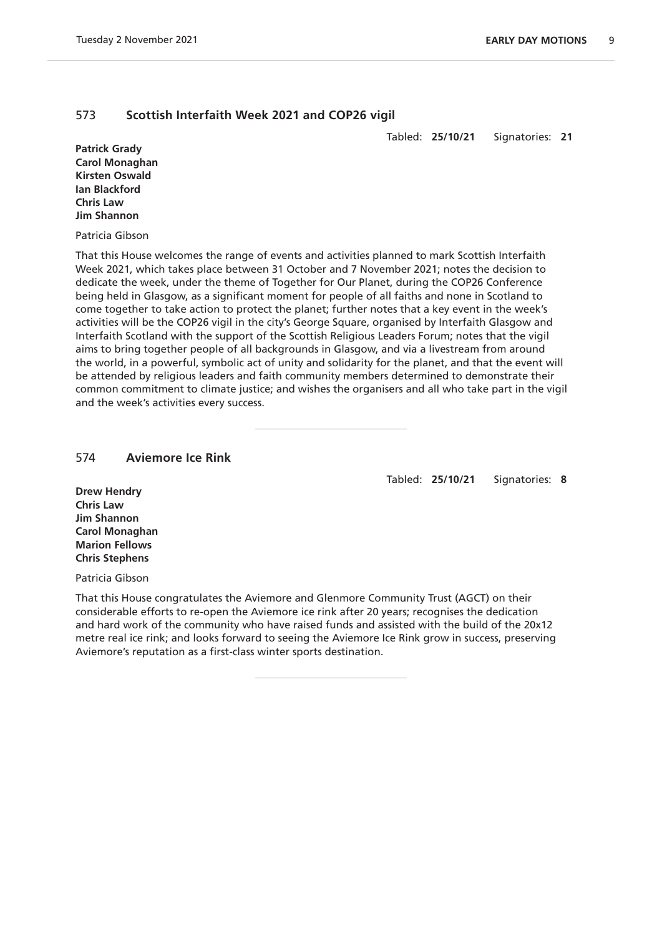# 573 **Scottish Interfaith Week 2021 and COP26 vigil**

Tabled: **25/10/21** Signatories: **21**

**Patrick Grady Carol Monaghan Kirsten Oswald Ian Blackford Chris Law Jim Shannon**

#### Patricia Gibson

That this House welcomes the range of events and activities planned to mark Scottish Interfaith Week 2021, which takes place between 31 October and 7 November 2021; notes the decision to dedicate the week, under the theme of Together for Our Planet, during the COP26 Conference being held in Glasgow, as a significant moment for people of all faiths and none in Scotland to come together to take action to protect the planet; further notes that a key event in the week's activities will be the COP26 vigil in the city's George Square, organised by Interfaith Glasgow and Interfaith Scotland with the support of the Scottish Religious Leaders Forum; notes that the vigil aims to bring together people of all backgrounds in Glasgow, and via a livestream from around the world, in a powerful, symbolic act of unity and solidarity for the planet, and that the event will be attended by religious leaders and faith community members determined to demonstrate their common commitment to climate justice; and wishes the organisers and all who take part in the vigil and the week's activities every success.

#### 574 **Aviemore Ice Rink**

Tabled: **25/10/21** Signatories: **8**

**Drew Hendry Chris Law Jim Shannon Carol Monaghan Marion Fellows Chris Stephens**

Patricia Gibson

That this House congratulates the Aviemore and Glenmore Community Trust (AGCT) on their considerable efforts to re-open the Aviemore ice rink after 20 years; recognises the dedication and hard work of the community who have raised funds and assisted with the build of the 20x12 metre real ice rink; and looks forward to seeing the Aviemore Ice Rink grow in success, preserving Aviemore's reputation as a first-class winter sports destination.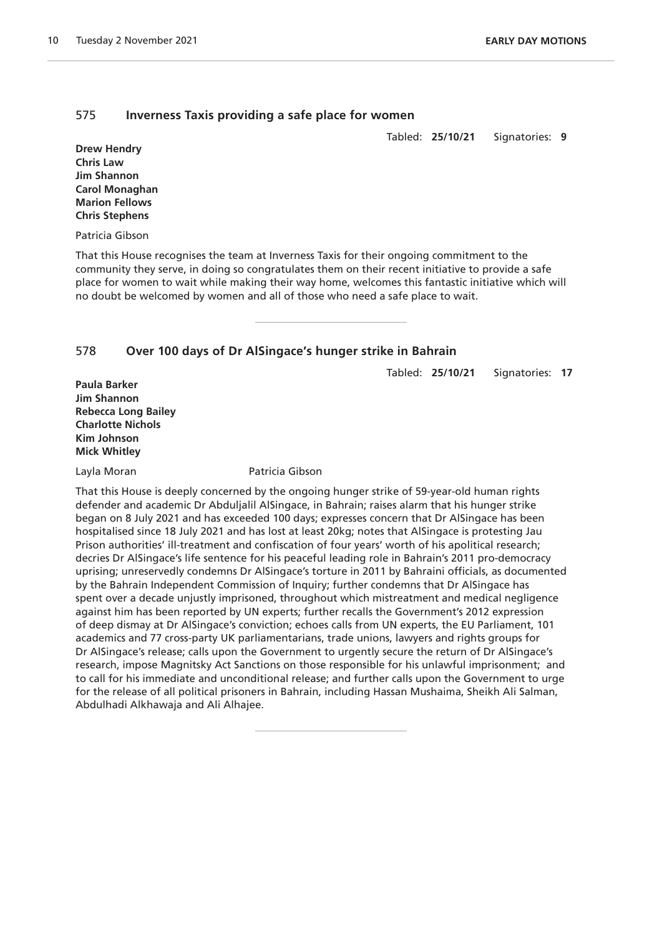# 575 **Inverness Taxis providing a safe place for women**

Tabled: **25/10/21** Signatories: **9**

**Drew Hendry Chris Law Jim Shannon Carol Monaghan Marion Fellows Chris Stephens**

Patricia Gibson

That this House recognises the team at Inverness Taxis for their ongoing commitment to the community they serve, in doing so congratulates them on their recent initiative to provide a safe place for women to wait while making their way home, welcomes this fantastic initiative which will no doubt be welcomed by women and all of those who need a safe place to wait.

#### 578 **Over 100 days of Dr AlSingace's hunger strike in Bahrain**

Tabled: **25/10/21** Signatories: **17**

**Paula Barker Jim Shannon Rebecca Long Bailey Charlotte Nichols Kim Johnson Mick Whitley**

Layla Moran **Patricia Gibson** 

That this House is deeply concerned by the ongoing hunger strike of 59-year-old human rights defender and academic Dr Abduljalil AlSingace, in Bahrain; raises alarm that his hunger strike began on 8 July 2021 and has exceeded 100 days; expresses concern that Dr AlSingace has been hospitalised since 18 July 2021 and has lost at least 20kg; notes that AlSingace is protesting Jau Prison authorities' ill-treatment and confiscation of four years' worth of his apolitical research; decries Dr AlSingace's life sentence for his peaceful leading role in Bahrain's 2011 pro-democracy uprising; unreservedly condemns Dr AlSingace's torture in 2011 by Bahraini officials, as documented by the Bahrain Independent Commission of Inquiry; further condemns that Dr AlSingace has spent over a decade unjustly imprisoned, throughout which mistreatment and medical negligence against him has been reported by UN experts; further recalls the Government's 2012 expression of deep dismay at Dr AlSingace's conviction; echoes calls from UN experts, the EU Parliament, 101 academics and 77 cross-party UK parliamentarians, trade unions, lawyers and rights groups for Dr AlSingace's release; calls upon the Government to urgently secure the return of Dr AlSingace's research, impose Magnitsky Act Sanctions on those responsible for his unlawful imprisonment; and to call for his immediate and unconditional release; and further calls upon the Government to urge for the release of all political prisoners in Bahrain, including Hassan Mushaima, Sheikh Ali Salman, Abdulhadi Alkhawaja and Ali Alhajee.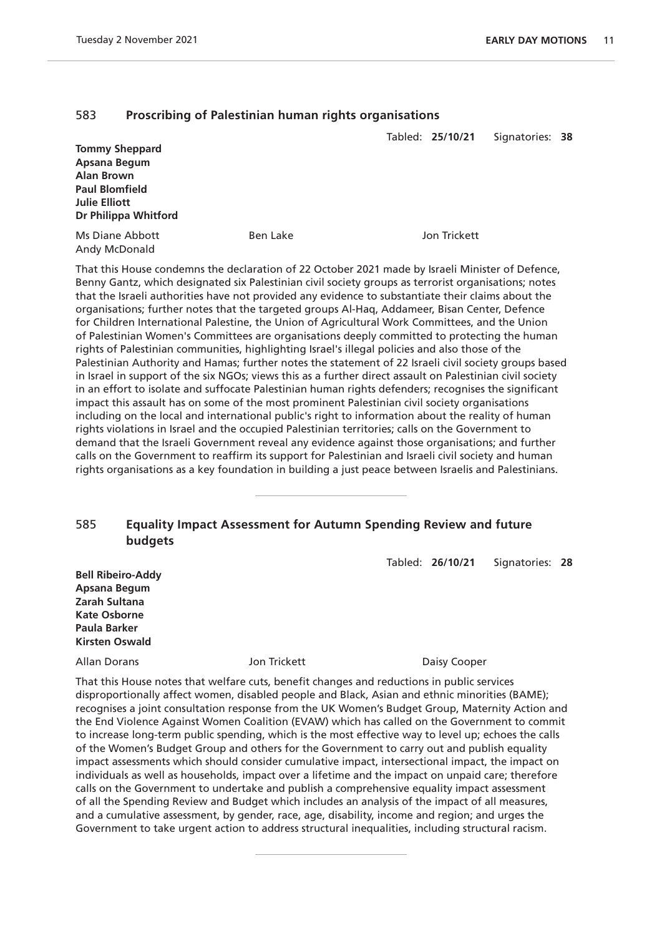# 583 **Proscribing of Palestinian human rights organisations**

|                                         |          | Tabled: 25/10/21 | Signatories: 38 |  |
|-----------------------------------------|----------|------------------|-----------------|--|
| <b>Tommy Sheppard</b>                   |          |                  |                 |  |
| Apsana Begum                            |          |                  |                 |  |
| <b>Alan Brown</b>                       |          |                  |                 |  |
| <b>Paul Blomfield</b>                   |          |                  |                 |  |
| <b>Julie Elliott</b>                    |          |                  |                 |  |
| Dr Philippa Whitford                    |          |                  |                 |  |
| <b>Ms Diane Abbott</b><br>Andy McDonald | Ben Lake | Jon Trickett     |                 |  |
|                                         |          |                  |                 |  |

That this House condemns the declaration of 22 October 2021 made by Israeli Minister of Defence, Benny Gantz, which designated six Palestinian civil society groups as terrorist organisations; notes that the Israeli authorities have not provided any evidence to substantiate their claims about the organisations; further notes that the targeted groups Al-Haq, Addameer, Bisan Center, Defence for Children International Palestine, the Union of Agricultural Work Committees, and the Union of Palestinian Women's Committees are organisations deeply committed to protecting the human rights of Palestinian communities, highlighting Israel's illegal policies and also those of the Palestinian Authority and Hamas; further notes the statement of 22 Israeli civil society groups based in Israel in support of the six NGOs; views this as a further direct assault on Palestinian civil society in an effort to isolate and suffocate Palestinian human rights defenders; recognises the significant impact this assault has on some of the most prominent Palestinian civil society organisations including on the local and international public's right to information about the reality of human rights violations in Israel and the occupied Palestinian territories; calls on the Government to demand that the Israeli Government reveal any evidence against those organisations; and further calls on the Government to reaffirm its support for Palestinian and Israeli civil society and human rights organisations as a key foundation in building a just peace between Israelis and Palestinians.

# 585 **Equality Impact Assessment for Autumn Spending Review and future budgets**

Tabled: **26/10/21** Signatories: **28**

**Bell Ribeiro-Addy Apsana Begum Zarah Sultana Kate Osborne Paula Barker Kirsten Oswald**

Allan Dorans **Daisy Cooper** Jon Trickett **Daisy Cooper** 

That this House notes that welfare cuts, benefit changes and reductions in public services disproportionally affect women, disabled people and Black, Asian and ethnic minorities (BAME); recognises a joint consultation response from the UK Women's Budget Group, Maternity Action and the End Violence Against Women Coalition (EVAW) which has called on the Government to commit to increase long-term public spending, which is the most effective way to level up; echoes the calls of the Women's Budget Group and others for the Government to carry out and publish equality impact assessments which should consider cumulative impact, intersectional impact, the impact on individuals as well as households, impact over a lifetime and the impact on unpaid care; therefore calls on the Government to undertake and publish a comprehensive equality impact assessment of all the Spending Review and Budget which includes an analysis of the impact of all measures, and a cumulative assessment, by gender, race, age, disability, income and region; and urges the Government to take urgent action to address structural inequalities, including structural racism.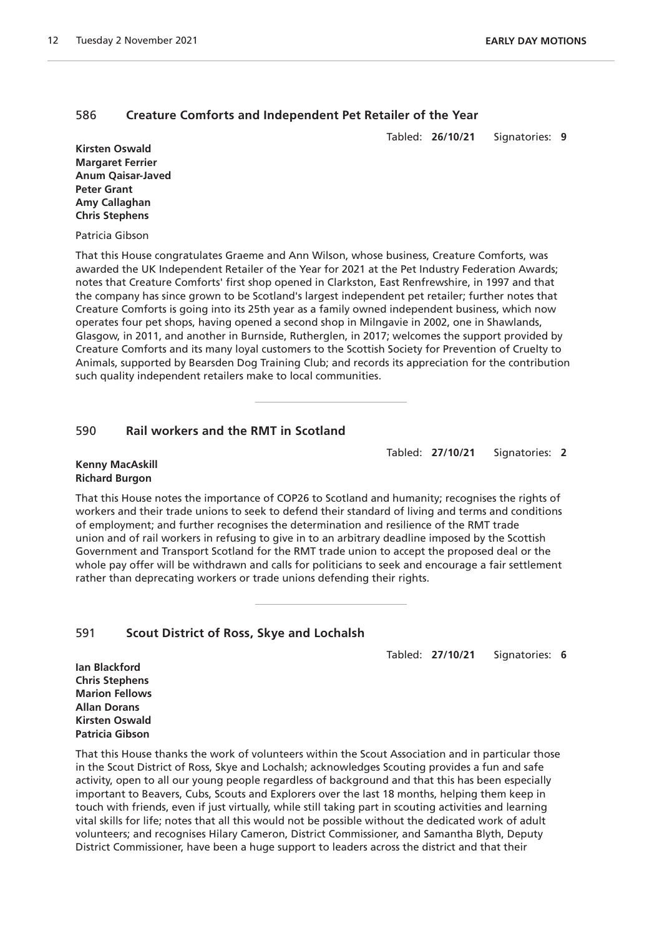# 586 **Creature Comforts and Independent Pet Retailer of the Year**

Tabled: **26/10/21** Signatories: **9**

**Kirsten Oswald Margaret Ferrier Anum Qaisar-Javed Peter Grant Amy Callaghan Chris Stephens**

#### Patricia Gibson

That this House congratulates Graeme and Ann Wilson, whose business, Creature Comforts, was awarded the UK Independent Retailer of the Year for 2021 at the Pet Industry Federation Awards; notes that Creature Comforts' first shop opened in Clarkston, East Renfrewshire, in 1997 and that the company has since grown to be Scotland's largest independent pet retailer; further notes that Creature Comforts is going into its 25th year as a family owned independent business, which now operates four pet shops, having opened a second shop in Milngavie in 2002, one in Shawlands, Glasgow, in 2011, and another in Burnside, Rutherglen, in 2017; welcomes the support provided by Creature Comforts and its many loyal customers to the Scottish Society for Prevention of Cruelty to Animals, supported by Bearsden Dog Training Club; and records its appreciation for the contribution such quality independent retailers make to local communities.

#### 590 **Rail workers and the RMT in Scotland**

Tabled: **27/10/21** Signatories: **2**

#### **Kenny MacAskill Richard Burgon**

That this House notes the importance of COP26 to Scotland and humanity; recognises the rights of workers and their trade unions to seek to defend their standard of living and terms and conditions of employment; and further recognises the determination and resilience of the RMT trade union and of rail workers in refusing to give in to an arbitrary deadline imposed by the Scottish Government and Transport Scotland for the RMT trade union to accept the proposed deal or the whole pay offer will be withdrawn and calls for politicians to seek and encourage a fair settlement rather than deprecating workers or trade unions defending their rights.

#### 591 **Scout District of Ross, Skye and Lochalsh**

Tabled: **27/10/21** Signatories: **6**

**Ian Blackford Chris Stephens Marion Fellows Allan Dorans Kirsten Oswald Patricia Gibson**

That this House thanks the work of volunteers within the Scout Association and in particular those in the Scout District of Ross, Skye and Lochalsh; acknowledges Scouting provides a fun and safe activity, open to all our young people regardless of background and that this has been especially important to Beavers, Cubs, Scouts and Explorers over the last 18 months, helping them keep in touch with friends, even if just virtually, while still taking part in scouting activities and learning vital skills for life; notes that all this would not be possible without the dedicated work of adult volunteers; and recognises Hilary Cameron, District Commissioner, and Samantha Blyth, Deputy District Commissioner, have been a huge support to leaders across the district and that their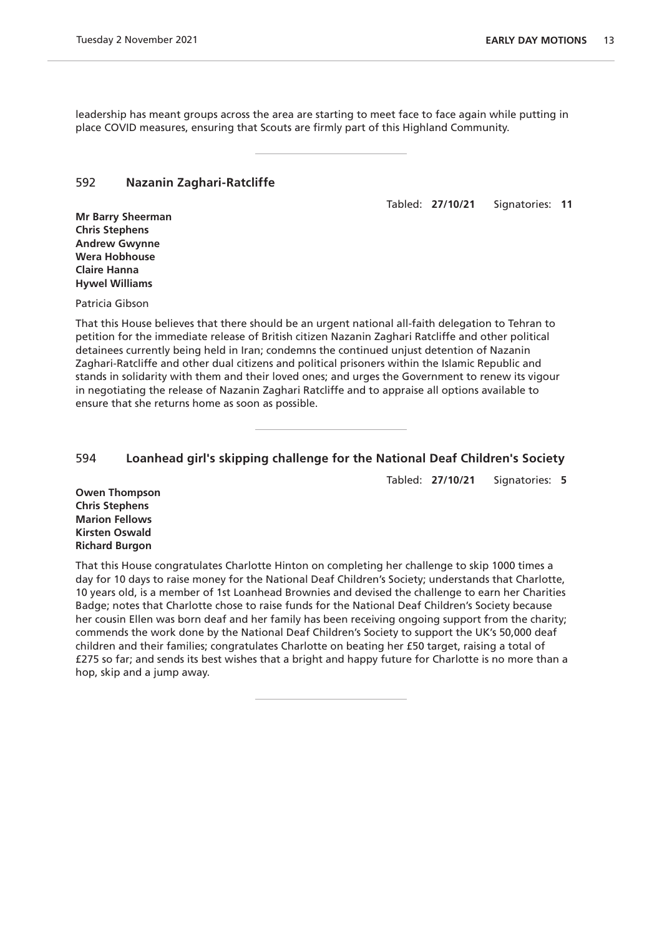leadership has meant groups across the area are starting to meet face to face again while putting in place COVID measures, ensuring that Scouts are firmly part of this Highland Community.

#### 592 **Nazanin Zaghari-Ratcliffe**

Tabled: **27/10/21** Signatories: **11**

**Mr Barry Sheerman Chris Stephens Andrew Gwynne Wera Hobhouse Claire Hanna Hywel Williams**

Patricia Gibson

That this House believes that there should be an urgent national all-faith delegation to Tehran to petition for the immediate release of British citizen Nazanin Zaghari Ratcliffe and other political detainees currently being held in Iran; condemns the continued unjust detention of Nazanin Zaghari-Ratcliffe and other dual citizens and political prisoners within the Islamic Republic and stands in solidarity with them and their loved ones; and urges the Government to renew its vigour in negotiating the release of Nazanin Zaghari Ratcliffe and to appraise all options available to ensure that she returns home as soon as possible.

#### 594 **Loanhead girl's skipping challenge for the National Deaf Children's Society**

Tabled: **27/10/21** Signatories: **5**

**Owen Thompson Chris Stephens Marion Fellows Kirsten Oswald Richard Burgon**

That this House congratulates Charlotte Hinton on completing her challenge to skip 1000 times a day for 10 days to raise money for the National Deaf Children's Society; understands that Charlotte, 10 years old, is a member of 1st Loanhead Brownies and devised the challenge to earn her Charities Badge; notes that Charlotte chose to raise funds for the National Deaf Children's Society because her cousin Ellen was born deaf and her family has been receiving ongoing support from the charity; commends the work done by the National Deaf Children's Society to support the UK's 50,000 deaf children and their families; congratulates Charlotte on beating her £50 target, raising a total of £275 so far; and sends its best wishes that a bright and happy future for Charlotte is no more than a hop, skip and a jump away.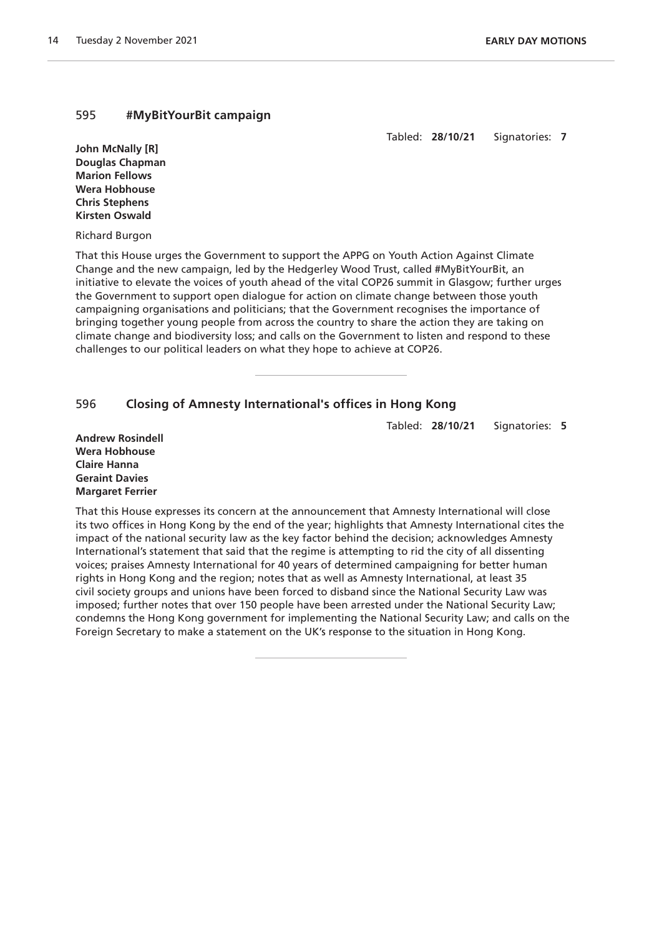#### 595 **#MyBitYourBit campaign**

Tabled: **28/10/21** Signatories: **7**

**John McNally [R] Douglas Chapman Marion Fellows Wera Hobhouse Chris Stephens Kirsten Oswald**

Richard Burgon

That this House urges the Government to support the APPG on Youth Action Against Climate Change and the new campaign, led by the Hedgerley Wood Trust, called #MyBitYourBit, an initiative to elevate the voices of youth ahead of the vital COP26 summit in Glasgow; further urges the Government to support open dialogue for action on climate change between those youth campaigning organisations and politicians; that the Government recognises the importance of bringing together young people from across the country to share the action they are taking on climate change and biodiversity loss; and calls on the Government to listen and respond to these challenges to our political leaders on what they hope to achieve at COP26.

# 596 **Closing of Amnesty International's offices in Hong Kong**

Tabled: **28/10/21** Signatories: **5**

**Andrew Rosindell Wera Hobhouse Claire Hanna Geraint Davies Margaret Ferrier**

That this House expresses its concern at the announcement that Amnesty International will close its two offices in Hong Kong by the end of the year; highlights that Amnesty International cites the impact of the national security law as the key factor behind the decision; acknowledges Amnesty International's statement that said that the regime is attempting to rid the city of all dissenting voices; praises Amnesty International for 40 years of determined campaigning for better human rights in Hong Kong and the region; notes that as well as Amnesty International, at least 35 civil society groups and unions have been forced to disband since the National Security Law was imposed; further notes that over 150 people have been arrested under the National Security Law; condemns the Hong Kong government for implementing the National Security Law; and calls on the Foreign Secretary to make a statement on the UK's response to the situation in Hong Kong.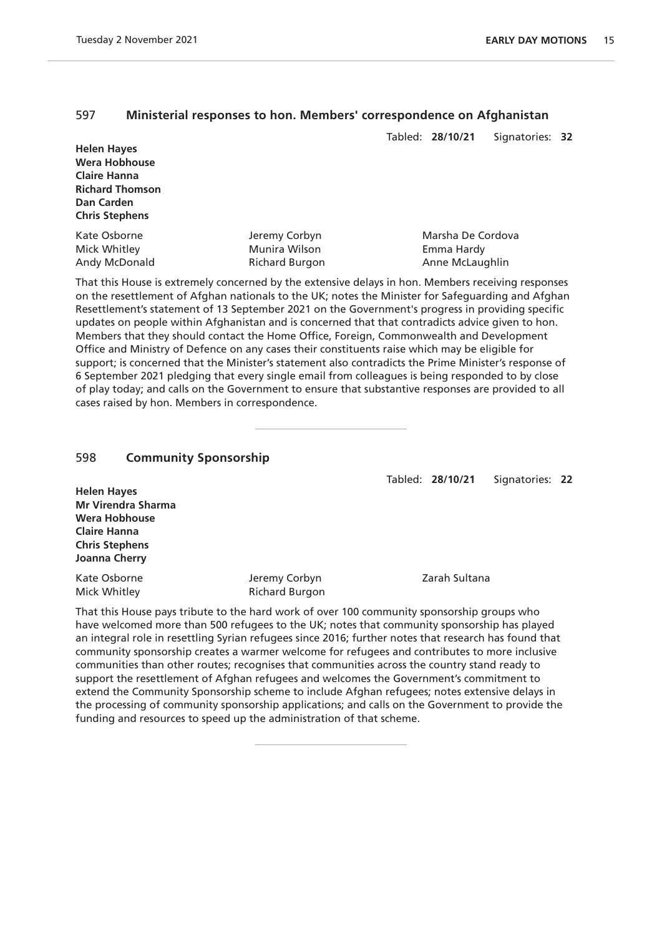#### 597 **Ministerial responses to hon. Members' correspondence on Afghanistan**

Tabled: **28/10/21** Signatories: **32**

| <b>Helen Hayes</b>     |
|------------------------|
| <b>Wera Hobhouse</b>   |
| <b>Claire Hanna</b>    |
| <b>Richard Thomson</b> |
| <b>Dan Carden</b>      |
| <b>Chris Stephens</b>  |

Kate Osborne **Marsha De Cordova** Jeremy Corbyn **Marsha De Cordova** Mick Whitley Munira Wilson Emma Hardy

Andy McDonald **Richard Burgon Richard Burgon** Anne McLaughlin That this House is extremely concerned by the extensive delays in hon. Members receiving responses on the resettlement of Afghan nationals to the UK; notes the Minister for Safeguarding and Afghan Resettlement's statement of 13 September 2021 on the Government's progress in providing specific updates on people within Afghanistan and is concerned that that contradicts advice given to hon. Members that they should contact the Home Office, Foreign, Commonwealth and Development Office and Ministry of Defence on any cases their constituents raise which may be eligible for support; is concerned that the Minister's statement also contradicts the Prime Minister's response of 6 September 2021 pledging that every single email from colleagues is being responded to by close of play today; and calls on the Government to ensure that substantive responses are provided to all

cases raised by hon. Members in correspondence.

# 598 **Community Sponsorship**

Tabled: **28/10/21** Signatories: **22**

| <b>Helen Hayes</b>        |
|---------------------------|
| <b>Mr Virendra Sharma</b> |
| Wera Hobhouse             |
| <b>Claire Hanna</b>       |
| <b>Chris Stephens</b>     |
| Joanna Cherry             |
|                           |

Kate Osborne **Grade Corporation** Jeremy Corbyn **Corporation** Zarah Sultana Mick Whitley **Richard Burgon** 

That this House pays tribute to the hard work of over 100 community sponsorship groups who have welcomed more than 500 refugees to the UK; notes that community sponsorship has played an integral role in resettling Syrian refugees since 2016; further notes that research has found that community sponsorship creates a warmer welcome for refugees and contributes to more inclusive communities than other routes; recognises that communities across the country stand ready to support the resettlement of Afghan refugees and welcomes the Government's commitment to extend the Community Sponsorship scheme to include Afghan refugees; notes extensive delays in the processing of community sponsorship applications; and calls on the Government to provide the funding and resources to speed up the administration of that scheme.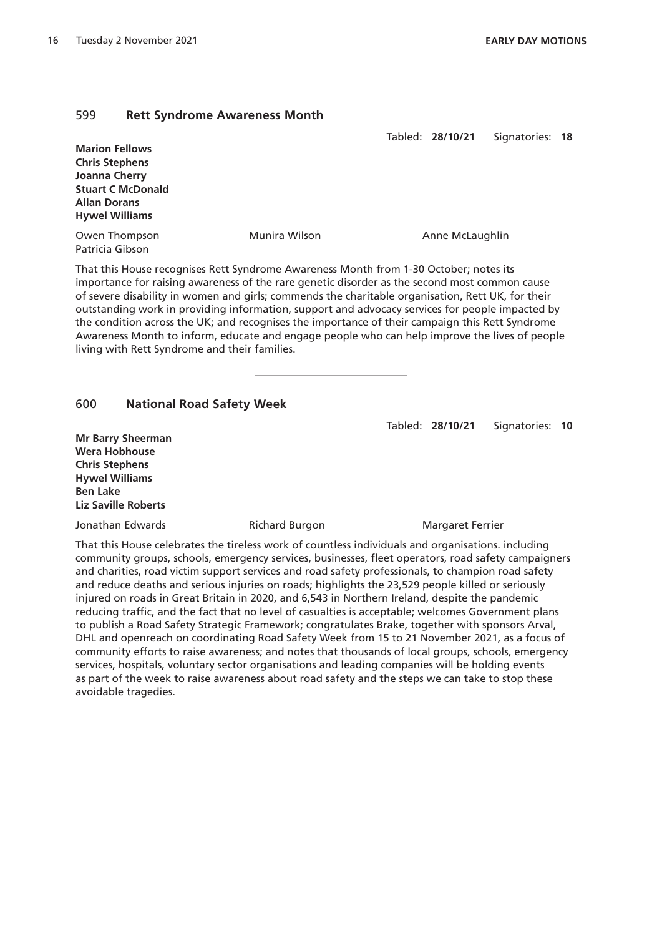#### 599 **Rett Syndrome Awareness Month**

Tabled: **28/10/21** Signatories: **18**

**Marion Fellows Chris Stephens Joanna Cherry Stuart C McDonald Allan Dorans Hywel Williams**

Owen Thompson Munira Wilson Anne McLaughlin Patricia Gibson

That this House recognises Rett Syndrome Awareness Month from 1-30 October; notes its importance for raising awareness of the rare genetic disorder as the second most common cause of severe disability in women and girls; commends the charitable organisation, Rett UK, for their outstanding work in providing information, support and advocacy services for people impacted by the condition across the UK; and recognises the importance of their campaign this Rett Syndrome Awareness Month to inform, educate and engage people who can help improve the lives of people living with Rett Syndrome and their families.

#### 600 **National Road Safety Week**

Tabled: **28/10/21** Signatories: **10**

**Mr Barry Sheerman Wera Hobhouse Chris Stephens Hywel Williams Ben Lake Liz Saville Roberts**

Jonathan Edwards **Margaret Ferrier** Richard Burgon Margaret Ferrier

That this House celebrates the tireless work of countless individuals and organisations. including community groups, schools, emergency services, businesses, fleet operators, road safety campaigners and charities, road victim support services and road safety professionals, to champion road safety and reduce deaths and serious injuries on roads; highlights the 23,529 people killed or seriously injured on roads in Great Britain in 2020, and 6,543 in Northern Ireland, despite the pandemic reducing traffic, and the fact that no level of casualties is acceptable; welcomes Government plans to publish a Road Safety Strategic Framework; congratulates Brake, together with sponsors Arval, DHL and openreach on coordinating Road Safety Week from 15 to 21 November 2021, as a focus of community efforts to raise awareness; and notes that thousands of local groups, schools, emergency services, hospitals, voluntary sector organisations and leading companies will be holding events as part of the week to raise awareness about road safety and the steps we can take to stop these avoidable tragedies.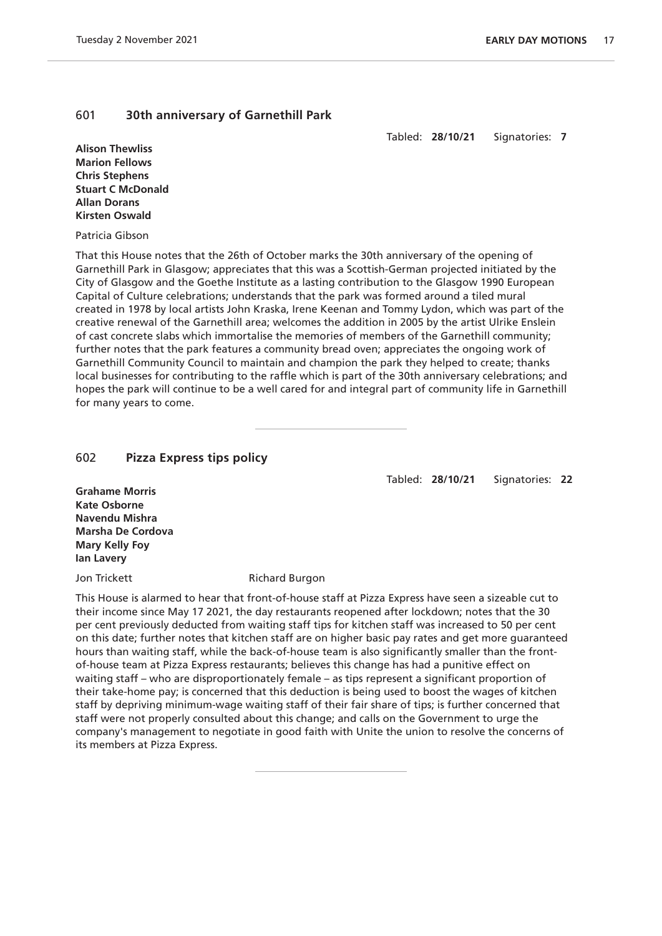## 601 **30th anniversary of Garnethill Park**

Tabled: **28/10/21** Signatories: **7**

**Alison Thewliss Marion Fellows Chris Stephens Stuart C McDonald Allan Dorans Kirsten Oswald**

Patricia Gibson

That this House notes that the 26th of October marks the 30th anniversary of the opening of Garnethill Park in Glasgow; appreciates that this was a Scottish-German projected initiated by the City of Glasgow and the Goethe Institute as a lasting contribution to the Glasgow 1990 European Capital of Culture celebrations; understands that the park was formed around a tiled mural created in 1978 by local artists John Kraska, Irene Keenan and Tommy Lydon, which was part of the creative renewal of the Garnethill area; welcomes the addition in 2005 by the artist Ulrike Enslein of cast concrete slabs which immortalise the memories of members of the Garnethill community; further notes that the park features a community bread oven; appreciates the ongoing work of Garnethill Community Council to maintain and champion the park they helped to create; thanks local businesses for contributing to the raffle which is part of the 30th anniversary celebrations; and hopes the park will continue to be a well cared for and integral part of community life in Garnethill for many years to come.

# 602 **Pizza Express tips policy**

Tabled: **28/10/21** Signatories: **22**

**Grahame Morris Kate Osborne Navendu Mishra Marsha De Cordova Mary Kelly Foy Ian Lavery**

Jon Trickett **Richard Burgon** 

This House is alarmed to hear that front-of-house staff at Pizza Express have seen a sizeable cut to their income since May 17 2021, the day restaurants reopened after lockdown; notes that the 30 per cent previously deducted from waiting staff tips for kitchen staff was increased to 50 per cent on this date; further notes that kitchen staff are on higher basic pay rates and get more guaranteed hours than waiting staff, while the back-of-house team is also significantly smaller than the frontof-house team at Pizza Express restaurants; believes this change has had a punitive effect on waiting staff – who are disproportionately female – as tips represent a significant proportion of their take-home pay; is concerned that this deduction is being used to boost the wages of kitchen staff by depriving minimum-wage waiting staff of their fair share of tips; is further concerned that staff were not properly consulted about this change; and calls on the Government to urge the company's management to negotiate in good faith with Unite the union to resolve the concerns of its members at Pizza Express.